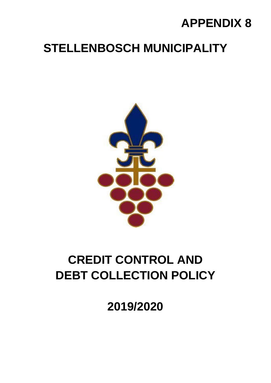# **APPENDIX 8**

# **STELLENBOSCH MUNICIPALITY**



# **CREDIT CONTROL AND DEBT COLLECTION POLICY**

**2019/2020**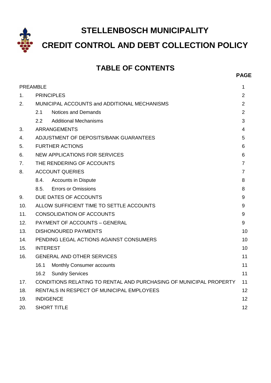**STELLENBOSCH MUNICIPALITY**

**CREDIT CONTROL AND DEBT COLLECTION POLICY**

# **TABLE OF CONTENTS**

|                | <b>PREAMBLE</b><br>1                                                     |                                          |    |  |
|----------------|--------------------------------------------------------------------------|------------------------------------------|----|--|
| $1_{-}$        | <b>PRINCIPLES</b><br>2                                                   |                                          |    |  |
| 2.             | MUNICIPAL ACCOUNTS and ADDITIONAL MECHANISMS                             |                                          |    |  |
|                | 2.1                                                                      | <b>Notices and Demands</b>               | 2  |  |
|                | 2.2                                                                      | <b>Additional Mechanisms</b>             | 3  |  |
| 3.             |                                                                          | <b>ARRANGEMENTS</b>                      | 4  |  |
| 4.             | ADJUSTMENT OF DEPOSITS/BANK GUARANTEES<br>5                              |                                          |    |  |
| 5.             | <b>FURTHER ACTIONS</b><br>6                                              |                                          |    |  |
| 6.             | <b>NEW APPLICATIONS FOR SERVICES</b><br>6                                |                                          |    |  |
| 7 <sub>1</sub> | THE RENDERING OF ACCOUNTS<br>$\overline{7}$                              |                                          |    |  |
| 8.             | <b>ACCOUNT QUERIES</b><br>7                                              |                                          |    |  |
|                | 8.4.                                                                     | <b>Accounts in Dispute</b>               | 8  |  |
|                | 8.5.                                                                     | <b>Errors or Omissions</b>               | 8  |  |
| 9.             |                                                                          | DUE DATES OF ACCOUNTS                    | 9  |  |
| 10.            |                                                                          | ALLOW SUFFICIENT TIME TO SETTLE ACCOUNTS | 9  |  |
| 11.            | <b>CONSOLIDATION OF ACCOUNTS</b><br>9                                    |                                          |    |  |
| 12.            | <b>PAYMENT OF ACCOUNTS - GENERAL</b><br>9                                |                                          |    |  |
| 13.            | <b>DISHONOURED PAYMENTS</b><br>10                                        |                                          |    |  |
| 14.            | PENDING LEGAL ACTIONS AGAINST CONSUMERS<br>10                            |                                          |    |  |
| 15.            | <b>INTEREST</b><br>10                                                    |                                          |    |  |
| 16.            | <b>GENERAL AND OTHER SERVICES</b>                                        |                                          |    |  |
|                | 16.1                                                                     | Monthly Consumer accounts                | 11 |  |
|                | 16.2                                                                     | <b>Sundry Services</b>                   | 11 |  |
| 17.            | CONDITIONS RELATING TO RENTAL AND PURCHASING OF MUNICIPAL PROPERTY<br>11 |                                          |    |  |
| 18.            | <b>RENTALS IN RESPECT OF MUNICIPAL EMPLOYEES</b><br>12                   |                                          |    |  |
| 19.            |                                                                          | <b>INDIGENCE</b><br>12                   |    |  |
| 20.            |                                                                          | <b>SHORT TITLE</b><br>12                 |    |  |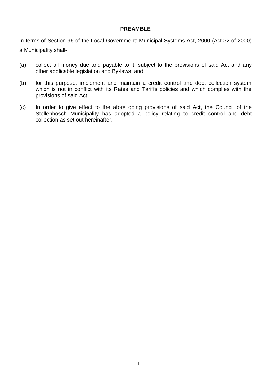## **PREAMBLE**

In terms of Section 96 of the Local Government: Municipal Systems Act, 2000 (Act 32 of 2000) a Municipality shall-

(a) collect all money due and payable to it, subject to the provisions of said Act and any other applicable legislation and By-laws; and

- (b) for this purpose, implement and maintain a credit control and debt collection system which is not in conflict with its Rates and Tariffs policies and which complies with the provisions of said Act.
- (c) In order to give effect to the afore going provisions of said Act, the Council of the Stellenbosch Municipality has adopted a policy relating to credit control and debt collection as set out hereinafter.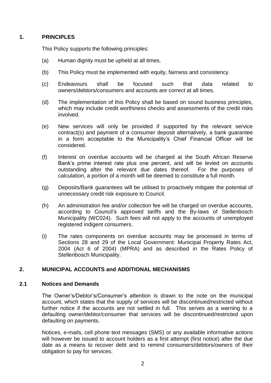## **1. PRINCIPLES**

This Policy supports the following principles:

- (a) Human dignity must be upheld at all times.
- (b) This Policy must be implemented with equity, fairness and consistency.
- (c) Endeavours shall be focused such that data related to owners/debtors/consumers and accounts are correct at all times.
- (d) The implementation of this Policy shall be based on sound business principles, which may include credit worthiness checks and assessments of the credit risks involved.
- (e) New services will only be provided if supported by the relevant service contract(s) and payment of a consumer deposit alternatively, a bank guarantee in a form acceptable to the Municipality's Chief Financial Officer will be considered.
- (f) Interest on overdue accounts will be charged at the South African Reserve Bank's prime interest rate plus one percent, and will be levied on accounts outstanding after the relevant due dates thereof. For the purposes of calculation, a portion of a month will be deemed to constitute a full month.
- (g) Deposits/Bank guarantees will be utilised to proactively mitigate the potential of unnecessary credit risk exposure to Council.
- (h) An administration fee and/or collection fee will be charged on overdue accounts, according to Council's approved tariffs and the By-laws of Stellenbosch Municipality (WC024). Such fees will not apply to the accounts of unemployed registered indigent consumers.
- (i) The rates components on overdue accounts may be processed in terms of Sections 28 and 29 of the Local Government: Municipal Property Rates Act, 2004 (Act 6 of 2004) (MPRA) and as described in the Rates Policy of Stellenbosch Municipality.

# **2. MUNICIPAL ACCOUNTS and ADDITIONAL MECHANISMS**

#### **2.1 Notices and Demands**

The Owner's/Debtor's/Consumer's attention is drawn to the note on the municipal account, which states that the supply of services will be discontinued/restricted without further notice if the accounts are not settled in full. This serves as a warning to a defaulting owner/debtor/consumer that services will be discontinued/restricted upon defaulting on payments.

Notices, e-mails, cell phone text messages (SMS) or any available informative actions will however be issued to account holders as a first attempt (first notice) after the due date as a means to recover debt and to remind consumers/debtors/owners of their obligation to pay for services.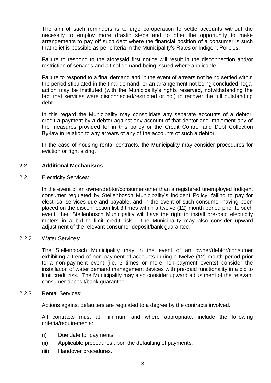The aim of such reminders is to urge co-operation to settle accounts without the necessity to employ more drastic steps and to offer the opportunity to make arrangements to pay off such debt where the financial position of a consumer is such that relief is possible as per criteria in the Municipality's Rates or Indigent Policies.

Failure to respond to the aforesaid first notice will result in the disconnection and/or restriction of services and a final demand being issued where applicable.

Failure to respond to a final demand and in the event of arrears not being settled within the period stipulated in the final demand, or an arrangement not being concluded, legal action may be instituted (with the Municipality's rights reserved, notwithstanding the fact that services were disconnected/restricted or not) to recover the full outstanding debt.

In this regard the Municipality may consolidate any separate accounts of a debtor, credit a payment by a debtor against any account of that debtor and implement any of the measures provided for in this policy or the Credit Control and Debt Collection By-law in relation to any arrears of any of the accounts of such a debtor.

In the case of housing rental contracts, the Municipality may consider procedures for eviction or right sizing.

#### **2.2 Additional Mechanisms**

2.2.1 Electricity Services:

In the event of an owner/debtor/consumer other than a registered unemployed Indigent consumer regulated by Stellenbosch Municipality's Indigent Policy, failing to pay for electrical services due and payable, and in the event of such consumer having been placed on the disconnection list 3 times within a twelve (12) month period prior to such event, then Stellenbosch Municipality will have the right to install pre-paid electricity meters in a bid to limit credit risk. The Municipality may also consider upward adjustment of the relevant consumer deposit/bank guarantee.

#### 2.2.2 Water Services:

The Stellenbosch Municipality may in the event of an owner/debtor/consumer exhibiting a trend of non-payment of accounts during a twelve (12) month period prior to a non-payment event (i.e. 3 times or more non-payment events) consider the installation of water demand management devices with pre-paid functionality in a bid to limit credit risk. The Municipality may also consider upward adjustment of the relevant consumer deposit/bank guarantee.

#### 2.2.3 Rental Services:

Actions against defaulters are regulated to a degree by the contracts involved.

All contracts must at minimum and where appropriate, include the following criteria/requirements:

- (i) Due date for payments.
- (ii) Applicable procedures upon the defaulting of payments.
- (iii) Handover procedures.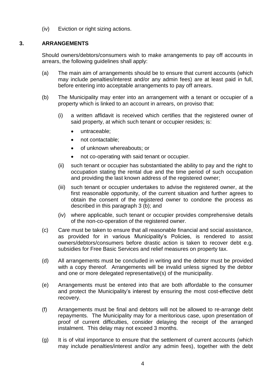(iv) Eviction or right sizing actions.

# **3. ARRANGEMENTS**

Should owners/debtors/consumers wish to make arrangements to pay off accounts in arrears, the following guidelines shall apply:

- (a) The main aim of arrangements should be to ensure that current accounts (which may include penalties/interest and/or any admin fees) are at least paid in full, before entering into acceptable arrangements to pay off arrears.
- (b) The Municipality may enter into an arrangement with a tenant or occupier of a property which is linked to an account in arrears, on proviso that:
	- (i) a written affidavit is received which certifies that the registered owner of said property, at which such tenant or occupier resides; is:
		- untraceable;
		- not contactable;
		- of unknown whereabouts; or
		- not co-operating with said tenant or occupier.
	- (ii) such tenant or occupier has substantiated the ability to pay and the right to occupation stating the rental due and the time period of such occupation and providing the last known address of the registered owner;
	- (iii) such tenant or occupier undertakes to advise the registered owner, at the first reasonable opportunity, of the current situation and further agrees to obtain the consent of the registered owner to condone the process as described in this paragraph 3 (b); and
	- (iv) where applicable, such tenant or occupier provides comprehensive details of the non-co-operation of the registered owner.
- (c) Care must be taken to ensure that all reasonable financial and social assistance, as provided for in various Municipality's Policies, is rendered to assist owners/debtors/consumers before drastic action is taken to recover debt e.g. subsidies for Free Basic Services and relief measures on property tax.
- (d) All arrangements must be concluded in writing and the debtor must be provided with a copy thereof. Arrangements will be invalid unless signed by the debtor and one or more delegated representative(s) of the municipality.
- (e) Arrangements must be entered into that are both affordable to the consumer and protect the Municipality's interest by ensuring the most cost-effective debt recovery.
- (f) Arrangements must be final and debtors will not be allowed to re-arrange debt repayments. The Municipality may for a meritorious case, upon presentation of proof of current difficulties, consider delaying the receipt of the arranged instalment. This delay may not exceed 3 months.
- (g) It is of vital importance to ensure that the settlement of current accounts (which may include penalties/interest and/or any admin fees), together with the debt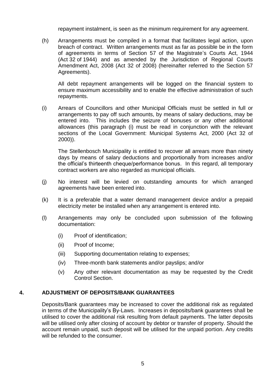repayment instalment, is seen as the minimum requirement for any agreement.

(h) Arrangements must be compiled in a format that facilitates legal action, upon breach of contract. Written arrangements must as far as possible be in the form of agreements in terms of Section 57 of the Magistrate's Courts Act, 1944 (Act 32 of 1944) and as amended by the Jurisdiction of Regional Courts Amendment Act, 2008 (Act 32 of 2008) (hereinafter referred to the Section 57 Agreements).

All debt repayment arrangements will be logged on the financial system to ensure maximum accessibility and to enable the effective administration of such repayments.

(i) Arrears of Councillors and other Municipal Officials must be settled in full or arrangements to pay off such amounts, by means of salary deductions, may be entered into. This includes the seizure of bonuses or any other additional allowances (this paragraph (i) must be read in conjunction with the relevant sections of the Local Government: Municipal Systems Act, 2000 (Act 32 of 2000)).

The Stellenbosch Municipality is entitled to recover all arrears more than ninety days by means of salary deductions and proportionally from increases and/or the official's thirteenth cheque/performance bonus. In this regard, all temporary contract workers are also regarded as municipal officials.

- (j) No interest will be levied on outstanding amounts for which arranged agreements have been entered into.
- (k) It is a preferable that a water demand management device and/or a prepaid electricity meter be installed when any arrangement is entered into.
- (l) Arrangements may only be concluded upon submission of the following documentation:
	- (i) Proof of identification;
	- (ii) Proof of Income;
	- (iii) Supporting documentation relating to expenses;
	- (iv) Three-month bank statements and/or payslips; and/or
	- (v) Any other relevant documentation as may be requested by the Credit Control Section.

#### **4. ADJUSTMENT OF DEPOSITS/BANK GUARANTEES**

Deposits/Bank guarantees may be increased to cover the additional risk as regulated in terms of the Municipality's By-Laws. Increases in deposits/bank guarantees shall be utilised to cover the additional risk resulting from default payments. The latter deposits will be utilised only after closing of account by debtor or transfer of property. Should the account remain unpaid, such deposit will be utilised for the unpaid portion. Any credits will be refunded to the consumer.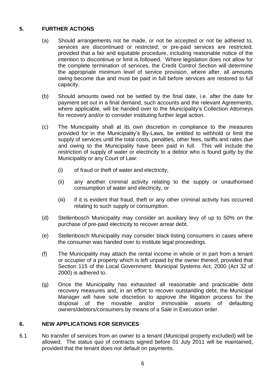# **5. FURTHER ACTIONS**

- (a) Should arrangements not be made, or not be accepted or not be adhered to, services are discontinued or restricted; or pre-paid services are restricted, provided that a fair and equitable procedure, including reasonable notice of the intention to discontinue or limit is followed. Where legislation does not allow for the complete termination of services, the Credit Control Section will determine the appropriate minimum level of service provision, where after, all amounts owing become due and must be paid in full before services are restored to full capacity.
- (b) Should amounts owed not be settled by the final date, i.e. after the date for payment set out in a final demand, such accounts and the relevant Agreements, where applicable, will be handed over to the Municipality's Collection Attorneys for recovery and/or to consider instituting further legal action.
- (c) The Municipality shall at its own discretion in compliance to the measures provided for in the Municipality's By-Laws, be entitled to withhold or limit the supply of services until the total costs, penalties, other fees, tariffs and rates due and owing to the Municipality have been paid in full. This will include the restriction of supply of water or electricity to a debtor who is found guilty by the Municipality or any Court of Law:
	- (i) of fraud or theft of water and electricity,
	- (ii) any another criminal activity relating to the supply or unauthorised consumption of water and electricity, or
	- (iii) if it is evident that fraud, theft or any other criminal activity has occurred relating to such supply or consumption.
- (d) Stellenbosch Municipality may consider an auxiliary levy of up to 50% on the purchase of pre-paid electricity to recover arrear debt.
- (e) Stellenbosch Municipality may consider black-listing consumers in cases where the consumer was handed over to institute legal proceedings.
- (f) The Municipality may attach the rental income in whole or in part from a tenant or occupier of a property which is left unpaid by the owner thereof, provided that Section 115 of the Local Government: Municipal Systems Act, 2000 (Act 32 of 2000) is adhered to.
- (g) Once the Municipality has exhausted all reasonable and practicable debt recovery measures and, in an effort to recover outstanding debt, the Municipal Manager will have sole discretion to approve the litigation process for the disposal of the movable and/or immovable assets of defaulting owners/debtors/consumers by means of a Sale in Execution order.

# **6. NEW APPLICATIONS FOR SERVICES**

6.1 No transfer of services from an owner to a tenant (Municipal property excluded) will be allowed. The status quo of contracts signed before 01 July 2011 will be maintained, provided that the tenant does not default on payments.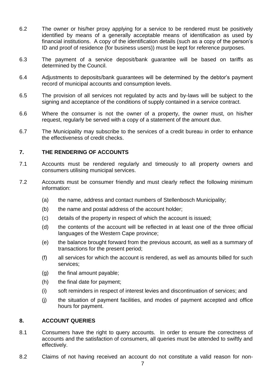- 6.2 The owner or his/her proxy applying for a service to be rendered must be positively identified by means of a generally acceptable means of identification as used by financial institutions. A copy of the identification details (such as a copy of the person's ID and proof of residence (for business users)) must be kept for reference purposes.
- 6.3 The payment of a service deposit/bank guarantee will be based on tariffs as determined by the Council.
- 6.4 Adjustments to deposits/bank guarantees will be determined by the debtor's payment record of municipal accounts and consumption levels.
- 6.5 The provision of all services not regulated by acts and by-laws will be subject to the signing and acceptance of the conditions of supply contained in a service contract.
- 6.6 Where the consumer is not the owner of a property, the owner must, on his/her request, regularly be served with a copy of a statement of the amount due.
- 6.7 The Municipality may subscribe to the services of a credit bureau in order to enhance the effectiveness of credit checks.

#### **7. THE RENDERING OF ACCOUNTS**

- 7.1 Accounts must be rendered regularly and timeously to all property owners and consumers utilising municipal services.
- 7.2 Accounts must be consumer friendly and must clearly reflect the following minimum information:
	- (a) the name, address and contact numbers of Stellenbosch Municipality;
	- (b) the name and postal address of the account holder;
	- (c) details of the property in respect of which the account is issued;
	- (d) the contents of the account will be reflected in at least one of the three official languages of the Western Cape province;
	- (e) the balance brought forward from the previous account, as well as a summary of transactions for the present period;
	- (f) all services for which the account is rendered, as well as amounts billed for such services;
	- (g) the final amount payable;
	- (h) the final date for payment;
	- (i) soft reminders in respect of interest levies and discontinuation of services; and
	- (j) the situation of payment facilities, and modes of payment accepted and office hours for payment.

#### **8. ACCOUNT QUERIES**

- 8.1 Consumers have the right to query accounts. In order to ensure the correctness of accounts and the satisfaction of consumers, all queries must be attended to swiftly and effectively.
- 8.2 Claims of not having received an account do not constitute a valid reason for non-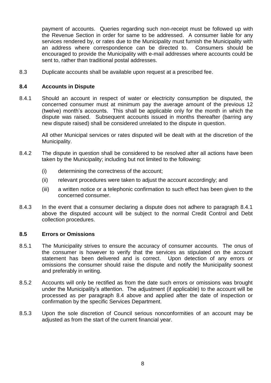payment of accounts. Queries regarding such non-receipt must be followed up with the Revenue Section in order for same to be addressed. A consumer liable for any services rendered by, or rates due to the Municipality must furnish the Municipality with an address where correspondence can be directed to. Consumers should be encouraged to provide the Municipality with e-mail addresses where accounts could be sent to, rather than traditional postal addresses.

8.3 Duplicate accounts shall be available upon request at a prescribed fee.

#### **8.4 Accounts in Dispute**

8.4.1 Should an account in respect of water or electricity consumption be disputed, the concerned consumer must at minimum pay the average amount of the previous 12 (twelve) month's accounts. This shall be applicable only for the month in which the dispute was raised. Subsequent accounts issued in months thereafter (barring any new dispute raised) shall be considered unrelated to the dispute in question.

All other Municipal services or rates disputed will be dealt with at the discretion of the Municipality.

- 8.4.2 The dispute in question shall be considered to be resolved after all actions have been taken by the Municipality; including but not limited to the following:
	- (i) determining the correctness of the account;
	- (ii) relevant procedures were taken to adjust the account accordingly; and
	- (iii) a written notice or a telephonic confirmation to such effect has been given to the concerned consumer.
- 8.4.3 In the event that a consumer declaring a dispute does not adhere to paragraph 8.4.1 above the disputed account will be subject to the normal Credit Control and Debt collection procedures.

#### **8.5 Errors or Omissions**

- 8.5.1 The Municipality strives to ensure the accuracy of consumer accounts. The onus of the consumer is however to verify that the services as stipulated on the account statement has been delivered and is correct. Upon detection of any errors or omissions the consumer should raise the dispute and notify the Municipality soonest and preferably in writing.
- 8.5.2 Accounts will only be rectified as from the date such errors or omissions was brought under the Municipality's attention. The adjustment (if applicable) to the account will be processed as per paragraph 8.4 above and applied after the date of inspection or confirmation by the specific Services Department.
- 8.5.3 Upon the sole discretion of Council serious nonconformities of an account may be adjusted as from the start of the current financial year.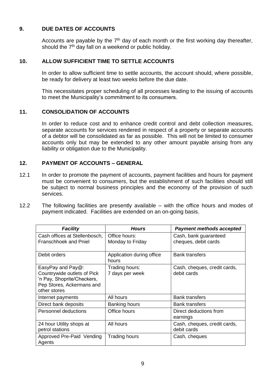# **9. DUE DATES OF ACCOUNTS**

Accounts are payable by the 7<sup>th</sup> day of each month or the first working day thereafter, should the  $7<sup>th</sup>$  day fall on a weekend or public holiday.

## **10. ALLOW SUFFICIENT TIME TO SETTLE ACCOUNTS**

In order to allow sufficient time to settle accounts, the account should, where possible, be ready for delivery at least two weeks before the due date.

This necessitates proper scheduling of all processes leading to the issuing of accounts to meet the Municipality's commitment to its consumers.

#### **11. CONSOLIDATION OF ACCOUNTS**

In order to reduce cost and to enhance credit control and debt collection measures, separate accounts for services rendered in respect of a property or separate accounts of a debtor will be consolidated as far as possible. This will not be limited to consumer accounts only but may be extended to any other amount payable arising from any liability or obligation due to the Municipality.

#### **12. PAYMENT OF ACCOUNTS – GENERAL**

- 12.1 In order to promote the payment of accounts, payment facilities and hours for payment must be convenient to consumers, but the establishment of such facilities should still be subject to normal business principles and the economy of the provision of such services.
- 12.2 The following facilities are presently available with the office hours and modes of payment indicated. Facilities are extended on an on-going basis.

| <b>Facility</b>                                                                                                               | <b>Hours</b>                       | <b>Payment methods accepted</b>               |
|-------------------------------------------------------------------------------------------------------------------------------|------------------------------------|-----------------------------------------------|
| Cash offices at Stellenbosch,<br><b>Franschhoek and Pniel</b>                                                                 | Office hours:<br>Monday to Friday  | Cash, bank guaranteed<br>cheques, debit cards |
| Debit orders                                                                                                                  | Application during office<br>hours | <b>Bank transfers</b>                         |
| EasyPay and $Pay@:$<br>Countrywide outlets of Pick<br>'n Pay, Shoprite/Checkers,<br>Pep Stores, Ackermans and<br>other stores | Trading hours:<br>7 days per week  | Cash, cheques, credit cards,<br>debit cards   |
| Internet payments                                                                                                             | All hours                          | <b>Bank transfers</b>                         |
| Direct bank deposits                                                                                                          | Banking hours                      | <b>Bank transfers</b>                         |
| Personnel deductions                                                                                                          | Office hours                       | Direct deductions from<br>earnings            |
| 24 hour Utility shops at<br>petrol stations                                                                                   | All hours                          | Cash, cheques, credit cards,<br>debit cards   |
| Approved Pre-Paid Vending<br>Agents                                                                                           | <b>Trading hours</b>               | Cash, cheques                                 |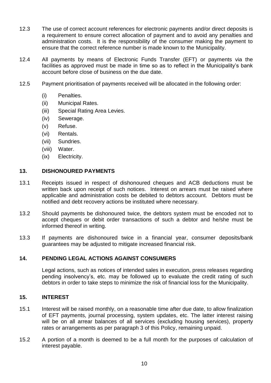- 12.3 The use of correct account references for electronic payments and/or direct deposits is a requirement to ensure correct allocation of payment and to avoid any penalties and administration costs. It is the responsibility of the consumer making the payment to ensure that the correct reference number is made known to the Municipality.
- 12.4 All payments by means of Electronic Funds Transfer (EFT) or payments via the facilities as approved must be made in time so as to reflect in the Municipality's bank account before close of business on the due date.
- 12.5 Payment prioritisation of payments received will be allocated in the following order:
	- (i) Penalties.
	- (ii) Municipal Rates.
	- (iii) Special Rating Area Levies.
	- (iv) Sewerage.
	- (v) Refuse.
	- (vi) Rentals.
	- (vii) Sundries.
	- (viii) Water.
	- (ix) Electricity.

#### **13. DISHONOURED PAYMENTS**

- 13.1 Receipts issued in respect of dishonoured cheques and ACB deductions must be written back upon receipt of such notices. Interest on arrears must be raised where applicable and administration costs be debited to debtors account. Debtors must be notified and debt recovery actions be instituted where necessary.
- 13.2 Should payments be dishonoured twice, the debtors system must be encoded not to accept cheques or debit order transactions of such a debtor and he/she must be informed thereof in writing.
- 13.3 If payments are dishonoured twice in a financial year, consumer deposits/bank guarantees may be adjusted to mitigate increased financial risk.

# **14. PENDING LEGAL ACTIONS AGAINST CONSUMERS**

Legal actions, such as notices of intended sales in execution, press releases regarding pending insolvency's, etc. may be followed up to evaluate the credit rating of such debtors in order to take steps to minimize the risk of financial loss for the Municipality.

#### **15. INTEREST**

- 15.1 Interest will be raised monthly, on a reasonable time after due date, to allow finalization of EFT payments, journal processing, system updates, etc. The latter interest raising will be on all arrear balances of all services (excluding housing services), property rates or arrangements as per paragraph 3 of this Policy, remaining unpaid.
- 15.2 A portion of a month is deemed to be a full month for the purposes of calculation of interest payable.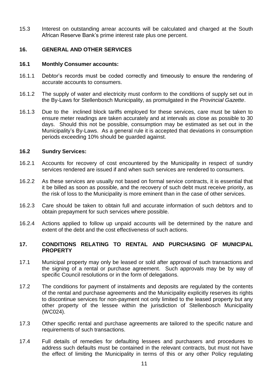15.3 Interest on outstanding arrear accounts will be calculated and charged at the South African Reserve Bank's prime interest rate plus one percent.

#### **16. GENERAL AND OTHER SERVICES**

#### **16.1 Monthly Consumer accounts:**

- 16.1.1 Debtor's records must be coded correctly and timeously to ensure the rendering of accurate accounts to consumers.
- 16.1.2 The supply of water and electricity must conform to the conditions of supply set out in the By-Laws for Stellenbosch Municipality, as promulgated in the *Provincial Gazette*.
- 16.1.3 Due to the inclined block tariffs employed for these services, care must be taken to ensure meter readings are taken accurately and at intervals as close as possible to 30 days. Should this not be possible, consumption may be estimated as set out in the Municipality's By-Laws. As a general rule it is accepted that deviations in consumption periods exceeding 10% should be guarded against.

#### **16.2 Sundry Services:**

- 16.2.1 Accounts for recovery of cost encountered by the Municipality in respect of sundry services rendered are issued if and when such services are rendered to consumers.
- 16.2.2 As these services are usually not based on formal service contracts, it is essential that it be billed as soon as possible, and the recovery of such debt must receive priority, as the risk of loss to the Municipality is more eminent than in the case of other services.
- 16.2.3 Care should be taken to obtain full and accurate information of such debtors and to obtain prepayment for such services where possible.
- 16.2.4 Actions applied to follow up unpaid accounts will be determined by the nature and extent of the debt and the cost effectiveness of such actions.

#### **17. CONDITIONS RELATING TO RENTAL AND PURCHASING OF MUNICIPAL PROPERTY**

- 17.1 Municipal property may only be leased or sold after approval of such transactions and the signing of a rental or purchase agreement. Such approvals may be by way of specific Council resolutions or in the form of delegations.
- 17.2 The conditions for payment of instalments and deposits are regulated by the contents of the rental and purchase agreements and the Municipality explicitly reserves its rights to discontinue services for non-payment not only limited to the leased property but any other property of the lessee within the jurisdiction of Stellenbosch Municipality (WC024).
- 17.3 Other specific rental and purchase agreements are tailored to the specific nature and requirements of such transactions.
- 17.4 Full details of remedies for defaulting lessees and purchasers and procedures to address such defaults must be contained in the relevant contracts, but must not have the effect of limiting the Municipality in terms of this or any other Policy regulating